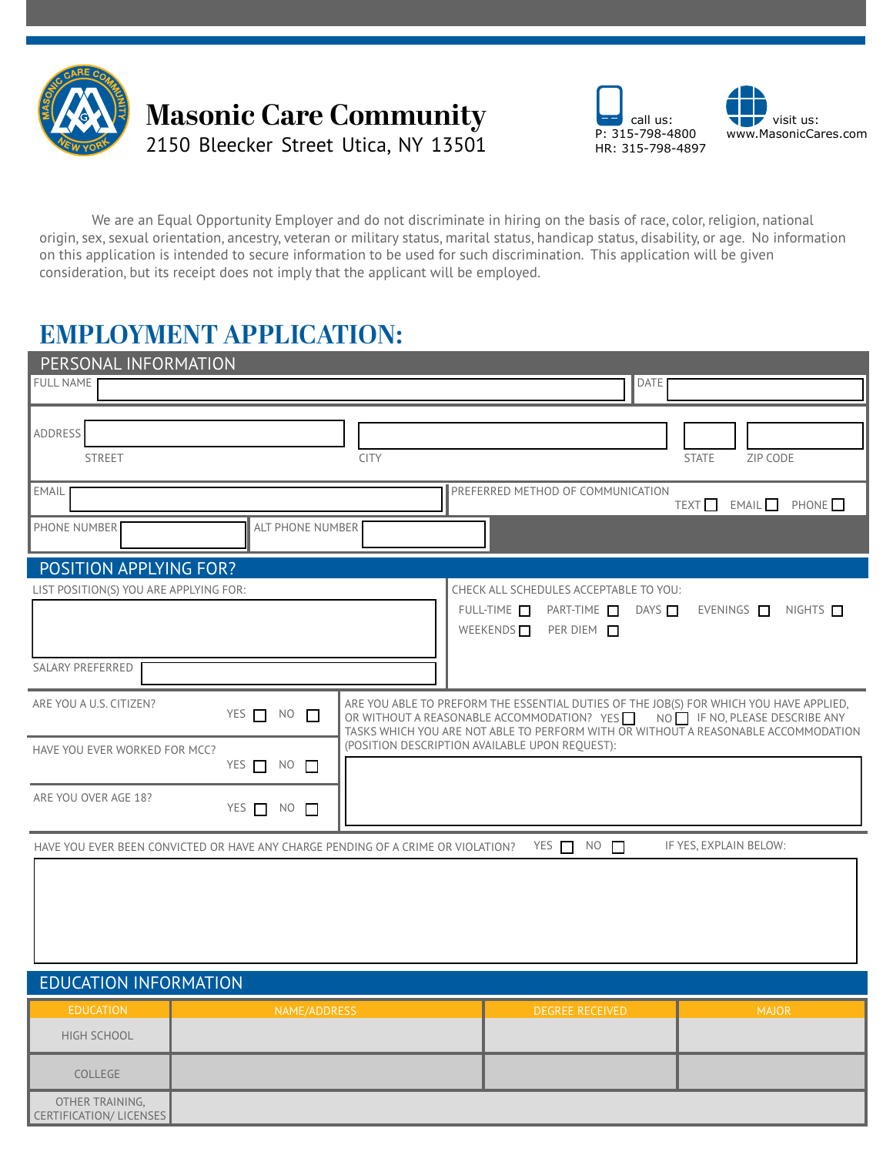

### **Masonic Care Community** 2150 Bleecker Street Utica, NY 13501





We are an Equal Opportunity Employer and do not discriminate in hiring on the basis of race, color, religion, national origin, sex, sexual orientation, ancestry, veteran or military status, marital status, handicap status, disability, or age. No information on this application is intended to secure information to be used for such discrimination. This application will be given consideration, but its receipt does not imply that the applicant will be employed.

## **EMPLOYMENT APPLICATION:**

| PERSONAL INFORMATION                                                             |             |                                                                                                                                                                                                                                                          |
|----------------------------------------------------------------------------------|-------------|----------------------------------------------------------------------------------------------------------------------------------------------------------------------------------------------------------------------------------------------------------|
| <b>FULL NAME</b>                                                                 |             | <b>DATE</b>                                                                                                                                                                                                                                              |
| ADDRESS<br><b>STREET</b>                                                         | <b>CITY</b> | ZIP CODE<br><b>STATE</b>                                                                                                                                                                                                                                 |
| EMAIL                                                                            |             | PREFERRED METHOD OF COMMUNICATION<br>TEXT<br>EMAIL PHONE                                                                                                                                                                                                 |
| PHONE NUMBER<br><b>ALT PHONE NUMBER</b>                                          |             |                                                                                                                                                                                                                                                          |
| POSITION APPLYING FOR?                                                           |             |                                                                                                                                                                                                                                                          |
| LIST POSITION(S) YOU ARE APPLYING FOR:<br>SALARY PREFERRED                       |             | CHECK ALL SCHEDULES ACCEPTABLE TO YOU:<br>FULL-TIME <b>D</b><br>$PART-TIME$ $\Box$<br>DAYS<br>EVENINGS $\Box$ NIGHTS $\Box$<br>WEEKENDS <sup>1</sup><br>PER DIEM T                                                                                       |
| ARE YOU A U.S. CITIZEN?<br>YES NO                                                |             | ARE YOU ABLE TO PREFORM THE ESSENTIAL DUTIES OF THE JOB(S) FOR WHICH YOU HAVE APPLIED,<br>OR WITHOUT A REASONABLE ACCOMMODATION? YES NO IF NO, PLEASE DESCRIBE ANY<br>TASKS WHICH YOU ARE NOT ABLE TO PERFORM WITH OR WITHOUT A REASONABLE ACCOMMODATION |
| HAVE YOU EVER WORKED FOR MCC?<br>YES $\Box$ NO $\Box$                            |             | (POSITION DESCRIPTION AVAILABLE UPON REQUEST):                                                                                                                                                                                                           |
| ARE YOU OVER AGE 18?<br>YES NO                                                   |             |                                                                                                                                                                                                                                                          |
| HAVE YOU EVER BEEN CONVICTED OR HAVE ANY CHARGE PENDING OF A CRIME OR VIOLATION? |             | YES $\Box$ NO $\Box$<br>IF YES, EXPLAIN BELOW:                                                                                                                                                                                                           |

| <b>EDUCATION INFORMATION</b>              |              |                        |              |  |  |
|-------------------------------------------|--------------|------------------------|--------------|--|--|
| <b>EDUCATION</b>                          | NAME/ADDRESS | <b>DEGREE RECEIVED</b> | <b>MAJOR</b> |  |  |
| HIGH SCHOOL                               |              |                        |              |  |  |
| COLLEGE                                   |              |                        |              |  |  |
| OTHER TRAINING,<br>CERTIFICATION/LICENSES |              |                        |              |  |  |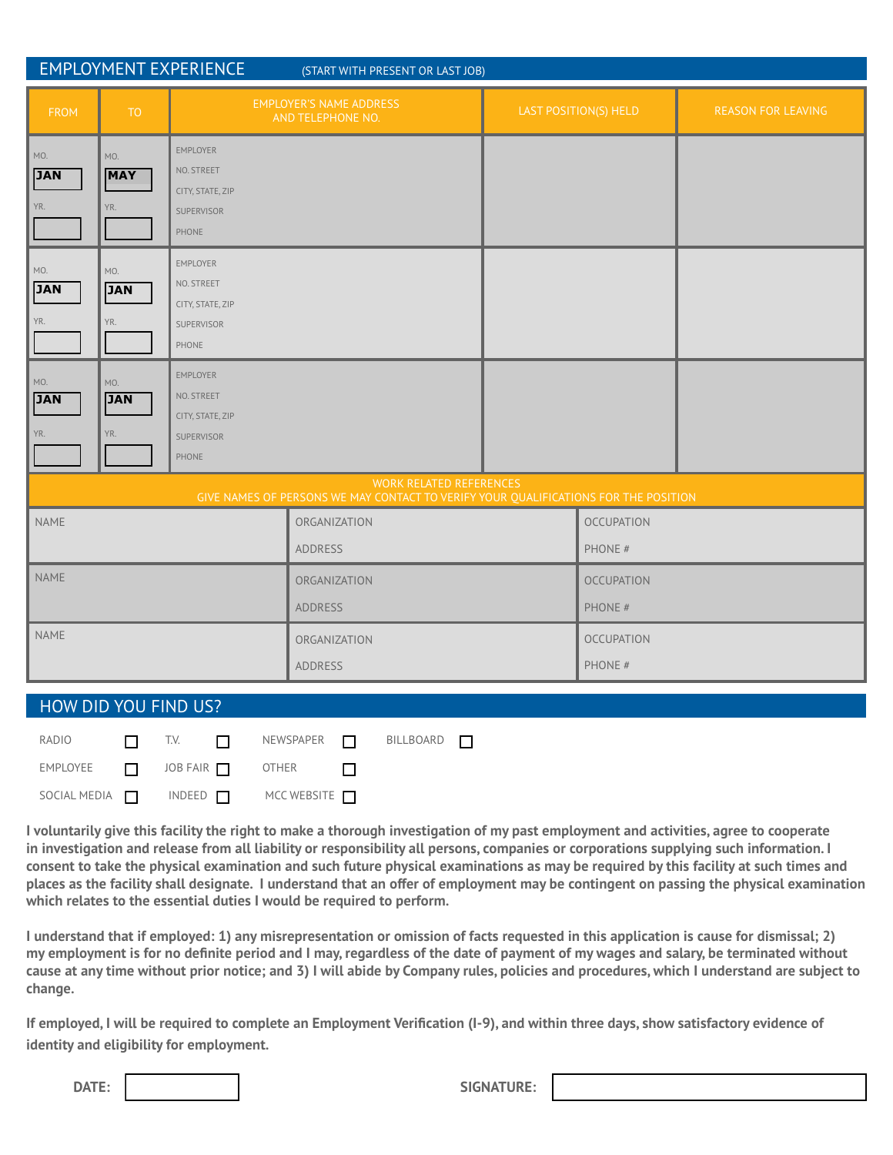| <b>EMPLOYMENT EXPERIENCE</b><br>(START WITH PRESENT OR LAST JOB)                                                      |                          |                                                                                 |                                                     |  |                              |                           |
|-----------------------------------------------------------------------------------------------------------------------|--------------------------|---------------------------------------------------------------------------------|-----------------------------------------------------|--|------------------------------|---------------------------|
| <b>FROM</b>                                                                                                           | <b>TO</b>                |                                                                                 | <b>EMPLOYER'S NAME ADDRESS</b><br>AND TELEPHONE NO. |  | LAST POSITION(S) HELD        | <b>REASON FOR LEAVING</b> |
| MO.<br><b>JAN</b><br>YR.                                                                                              | MO.<br><b>MAY</b><br>YR. | <b>EMPLOYER</b><br>NO. STREET<br>CITY, STATE, ZIP<br>SUPERVISOR<br>PHONE        |                                                     |  |                              |                           |
| MO.<br><b>JAN</b><br>YR.                                                                                              | MO.<br><b>JAN</b><br>YR. | <b>EMPLOYER</b><br>NO. STREET<br>CITY, STATE, ZIP<br>SUPERVISOR<br>PHONE        |                                                     |  |                              |                           |
| MO.<br><b>JAN</b><br>YR.                                                                                              | MO.<br><b>JAN</b><br>YR. | <b>EMPLOYER</b><br>NO. STREET<br>CITY, STATE, ZIP<br><b>SUPERVISOR</b><br>PHONE |                                                     |  |                              |                           |
| <b>WORK RELATED REFERENCES</b><br>GIVE NAMES OF PERSONS WE MAY CONTACT TO VERIFY YOUR QUALIFICATIONS FOR THE POSITION |                          |                                                                                 |                                                     |  |                              |                           |
| NAME                                                                                                                  |                          |                                                                                 | ORGANIZATION<br><b>ADDRESS</b>                      |  | <b>OCCUPATION</b><br>PHONE # |                           |
| <b>NAME</b>                                                                                                           |                          |                                                                                 | ORGANIZATION<br><b>ADDRESS</b>                      |  | <b>OCCUPATION</b><br>PHONE # |                           |
| NAME                                                                                                                  |                          |                                                                                 | ORGANIZATION<br><b>ADDRESS</b>                      |  | <b>OCCUPATION</b><br>PHONE # |                           |

#### HOW DID YOU FIND US?

|  | RADIO $\Box$ T.V. $\Box$ NEWSPAPER $\Box$ BILLBOARD $\Box$                     |  |  |
|--|--------------------------------------------------------------------------------|--|--|
|  | $EMPLOYEE \t\t \t\t \t\t\t 10BFAIR \t\t\t 10BFAIR$ OTHER $\t\t \t\t\t 10BFAIR$ |  |  |
|  | SOCIAL MEDIA $\Box$ INDEED $\Box$ MCC WEBSITE $\Box$                           |  |  |

**I voluntarily give this facility the right to make a thorough investigation of my past employment and activities, agree to cooperate in investigation and release from all liability or responsibility all persons, companies or corporations supplying such information. I consent to take the physical examination and such future physical examinations as may be required by this facility at such times and places as the facility shall designate. I understand that an offer of employment may be contingent on passing the physical examination which relates to the essential duties I would be required to perform.**

**I understand that if employed: 1) any misrepresentation or omission of facts requested in this application is cause for dismissal; 2) my employment is for no definite period and I may, regardless of the date of payment of my wages and salary, be terminated without cause at any time without prior notice; and 3) I will abide by Company rules, policies and procedures, which I understand are subject to change.**

**If employed, I will be required to complete an Employment Verification (I-9), and within three days, show satisfactory evidence of identity and eligibility for employment.**

**DATE: SIGNATURE:**